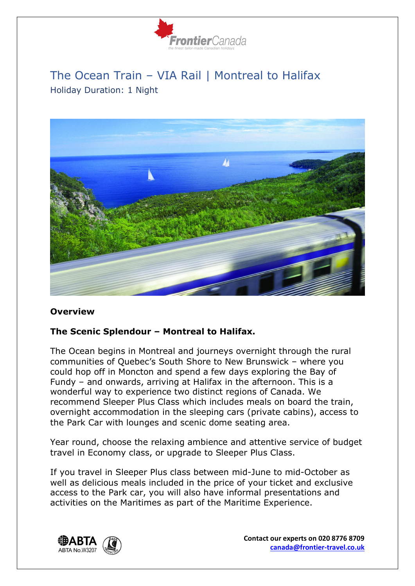

# The Ocean Train – VIA Rail | Montreal to Halifax Holiday Duration: 1 Night



#### **Overview**

#### **The Scenic Splendour – Montreal to Halifax.**

The Ocean begins in Montreal and journeys overnight through the rural communities of Quebec's South Shore to New Brunswick – where you could hop off in Moncton and spend a few days exploring the Bay of Fundy – and onwards, arriving at Halifax in the afternoon. This is a wonderful way to experience two distinct regions of Canada. We recommend Sleeper Plus Class which includes meals on board the train, overnight accommodation in the sleeping cars (private cabins), access to the Park Car with lounges and scenic dome seating area.

Year round, choose the relaxing ambience and attentive service of budget travel in Economy class, or upgrade to Sleeper Plus Class.

If you travel in Sleeper Plus class between mid-June to mid-October as well as delicious meals included in the price of your ticket and exclusive access to the Park car, you will also have informal presentations and activities on the Maritimes as part of the Maritime Experience.



**Contact our experts on 020 8776 8709 canada@frontier-travel.co.uk**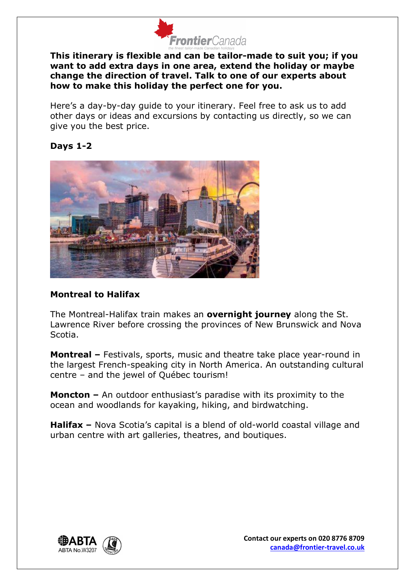

**This itinerary is flexible and can be tailor-made to suit you; if you want to add extra days in one area, extend the holiday or maybe change the direction of travel. Talk to one of our experts about how to make this holiday the perfect one for you.**

Here's a day-by-day guide to your itinerary. Feel free to ask us to add other days or ideas and excursions by contacting us directly, so we can give you the best price.

## **Days 1-2**



## **Montreal to Halifax**

The Montreal-Halifax train makes an **overnight journey** along the St. Lawrence River before crossing the provinces of New Brunswick and Nova Scotia.

**Montreal –** Festivals, sports, music and theatre take place year-round in the largest French-speaking city in North America. An outstanding cultural centre – and the jewel of Québec tourism!

**Moncton –** An outdoor enthusiast's paradise with its proximity to the ocean and woodlands for kayaking, hiking, and birdwatching.

**Halifax –** Nova Scotia's capital is a blend of old-world coastal village and urban centre with art galleries, theatres, and boutiques.